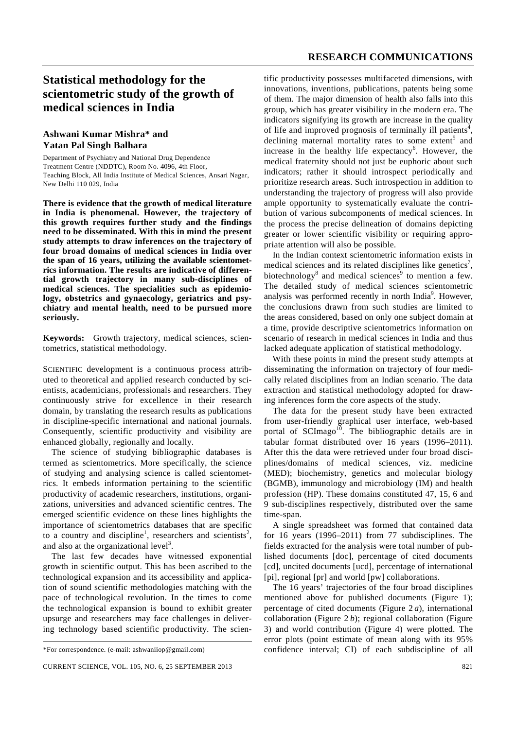# **Statistical methodology for the scientometric study of the growth of medical sciences in India**

# **Ashwani Kumar Mishra\* and Yatan Pal Singh Balhara**

Department of Psychiatry and National Drug Dependence Treatment Centre (NDDTC), Room No. 4096, 4th Floor, Teaching Block, All India Institute of Medical Sciences, Ansari Nagar, New Delhi 110 029, India

**There is evidence that the growth of medical literature in India is phenomenal. However, the trajectory of this growth requires further study and the findings need to be disseminated. With this in mind the present study attempts to draw inferences on the trajectory of four broad domains of medical sciences in India over the span of 16 years, utilizing the available scientometrics information. The results are indicative of differential growth trajectory in many sub-disciplines of medical sciences. The specialities such as epidemiology, obstetrics and gynaecology, geriatrics and psychiatry and mental health, need to be pursued more seriously.** 

**Keywords:** Growth trajectory, medical sciences, scientometrics, statistical methodology.

SCIENTIFIC development is a continuous process attributed to theoretical and applied research conducted by scientists, academicians, professionals and researchers. They continuously strive for excellence in their research domain, by translating the research results as publications in discipline-specific international and national journals. Consequently, scientific productivity and visibility are enhanced globally, regionally and locally.

 The science of studying bibliographic databases is termed as scientometrics. More specifically, the science of studying and analysing science is called scientometrics. It embeds information pertaining to the scientific productivity of academic researchers, institutions, organizations, universities and advanced scientific centres. The emerged scientific evidence on these lines highlights the importance of scientometrics databases that are specific to a country and discipline<sup>1</sup>, researchers and scientists<sup>2</sup>, and also at the organizational level<sup>3</sup>.

 The last few decades have witnessed exponential growth in scientific output. This has been ascribed to the technological expansion and its accessibility and application of sound scientific methodologies matching with the pace of technological revolution. In the times to come the technological expansion is bound to exhibit greater upsurge and researchers may face challenges in delivering technology based scientific productivity. The scientific productivity possesses multifaceted dimensions, with innovations, inventions, publications, patents being some of them. The major dimension of health also falls into this group, which has greater visibility in the modern era. The indicators signifying its growth are increase in the quality of life and improved prognosis of terminally ill patients<sup>4</sup>, declining maternal mortality rates to some extent<sup>5</sup> and increase in the healthy life expectancy<sup>6</sup>. However, the medical fraternity should not just be euphoric about such indicators; rather it should introspect periodically and prioritize research areas. Such introspection in addition to understanding the trajectory of progress will also provide ample opportunity to systematically evaluate the contribution of various subcomponents of medical sciences. In the process the precise delineation of domains depicting greater or lower scientific visibility or requiring appropriate attention will also be possible.

 In the Indian context scientometric information exists in medical sciences and its related disciplines like genetics<sup>7</sup>, biotechnology<sup>8</sup> and medical sciences<sup>9</sup> to mention a few. The detailed study of medical sciences scientometric analysis was performed recently in north India<sup>9</sup>. However, the conclusions drawn from such studies are limited to the areas considered, based on only one subject domain at a time, provide descriptive scientometrics information on scenario of research in medical sciences in India and thus lacked adequate application of statistical methodology.

 With these points in mind the present study attempts at disseminating the information on trajectory of four medically related disciplines from an Indian scenario. The data extraction and statistical methodology adopted for drawing inferences form the core aspects of the study.

 The data for the present study have been extracted from user-friendly graphical user interface, web-based portal of SCImago<sup>10</sup>. The bibliographic details are in tabular format distributed over 16 years (1996–2011). After this the data were retrieved under four broad disciplines/domains of medical sciences, viz. medicine (MED); biochemistry, genetics and molecular biology (BGMB), immunology and microbiology (IM) and health profession (HP). These domains constituted 47, 15, 6 and 9 sub-disciplines respectively, distributed over the same time-span.

 A single spreadsheet was formed that contained data for 16 years (1996–2011) from 77 subdisciplines. The fields extracted for the analysis were total number of published documents [doc], percentage of cited documents [cd], uncited documents [ucd], percentage of international [pi], regional [pr] and world [pw] collaborations.

 The 16 years' trajectories of the four broad disciplines mentioned above for published documents (Figure 1); percentage of cited documents (Figure 2 *a*), international collaboration (Figure 2 *b*); regional collaboration (Figure 3) and world contribution (Figure 4) were plotted. The error plots (point estimate of mean along with its 95% confidence interval; CI) of each subdiscipline of all

<sup>\*</sup>For correspondence. (e-mail: ashwaniiop@gmail.com)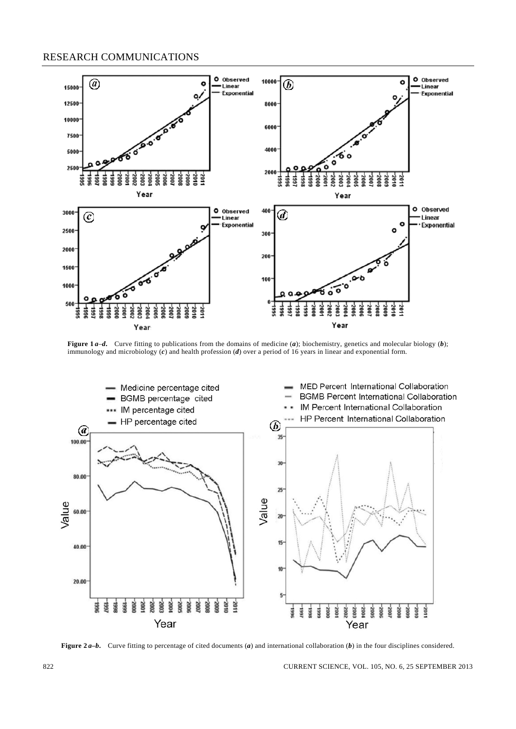# RESEARCH COMMUNICATIONS



**Figure 1a-d.** Curve fitting to publications from the domains of medicine (a); biochemistry, genetics and molecular biology (b); immunology and microbiology (*c*) and health profession (*d*) over a period of 16 years in linear and exponential form.



**Figure 2a-b.** Curve fitting to percentage of cited documents (*a*) and international collaboration (*b*) in the four disciplines considered.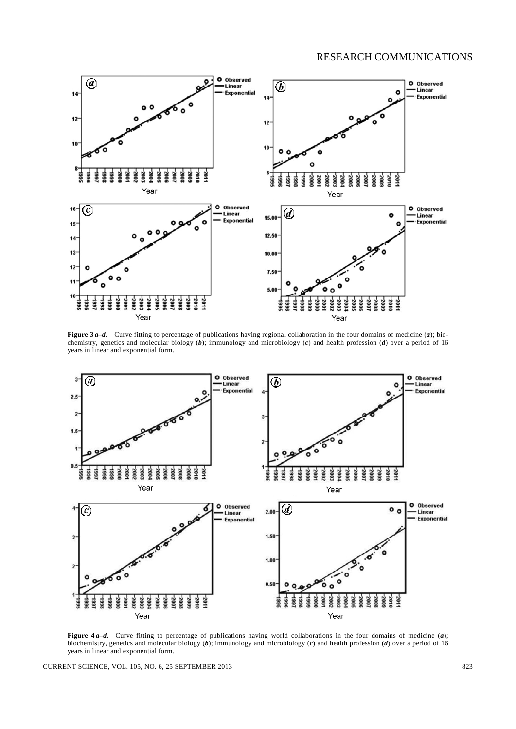

**Figure 3a-d.** Curve fitting to percentage of publications having regional collaboration in the four domains of medicine (a); biochemistry, genetics and molecular biology (*b*); immunology and microbiology (*c*) and health profession (*d*) over a period of 16 years in linear and exponential form.



**Figure 4a-d.** Curve fitting to percentage of publications having world collaborations in the four domains of medicine (a); biochemistry, genetics and molecular biology (*b*); immunology and microbiology (*c*) and health profession (*d*) over a period of 16 years in linear and exponential form.

CURRENT SCIENCE, VOL. 105, NO. 6, 25 SEPTEMBER 2013 823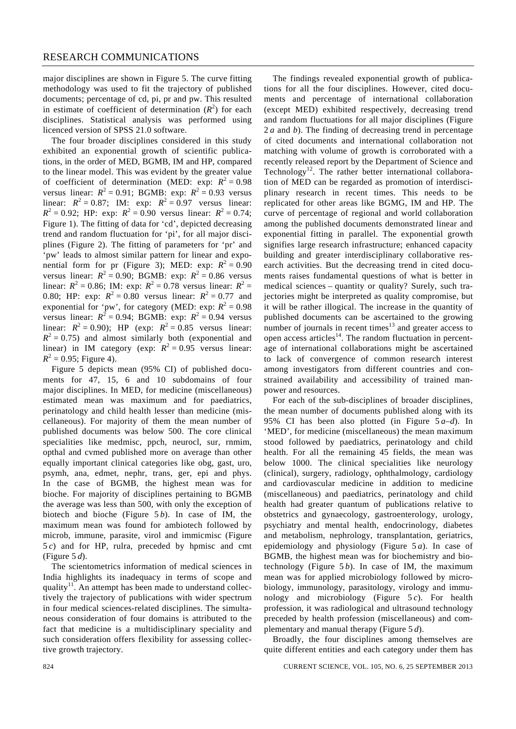major disciplines are shown in Figure 5. The curve fitting methodology was used to fit the trajectory of published documents; percentage of cd, pi, pr and pw. This resulted in estimate of coefficient of determination  $(R^2)$  for each disciplines. Statistical analysis was performed using licenced version of SPSS 21.0 software.

 The four broader disciplines considered in this study exhibited an exponential growth of scientific publications, in the order of MED, BGMB, IM and HP, compared to the linear model. This was evident by the greater value of coefficient of determination (MED: exp:  $R^2 = 0.98$ ) versus linear:  $R^2 = 0.91$ ; BGMB: exp:  $R^2 = 0.93$  versus linear:  $R^2 = 0.87$ ; IM: exp:  $R^2 = 0.97$  versus linear:  $R^2 = 0.92$ ; HP: exp:  $R^2 = 0.90$  versus linear:  $R^2 = 0.74$ ; Figure 1). The fitting of data for 'cd', depicted decreasing trend and random fluctuation for 'pi', for all major disciplines (Figure 2). The fitting of parameters for 'pr' and 'pw' leads to almost similar pattern for linear and exponential form for pr (Figure 3); MED: exp:  $R^2 = 0.90$ versus linear:  $R^2 = 0.90$ ; BGMB: exp:  $R^2 = 0.86$  versus linear:  $R^2 = 0.86$ ; IM: exp:  $R^2 = 0.78$  versus linear:  $R^2 =$ 0.80; HP: exp:  $R^2 = 0.80$  versus linear:  $R^2 = 0.77$  and exponential for 'pw', for category (MED: exp:  $R^2 = 0.98$ ) versus linear:  $R^2 = 0.94$ ; BGMB: exp:  $R^2 = 0.94$  versus linear:  $R^2 = 0.90$ ); HP (exp:  $R^2 = 0.85$  versus linear:  $R<sup>2</sup> = 0.75$ ) and almost similarly both (exponential and linear) in IM category (exp:  $R^2 = 0.95$  versus linear:  $R^2 = 0.95$ ; Figure 4).

 Figure 5 depicts mean (95% CI) of published documents for 47, 15, 6 and 10 subdomains of four major disciplines. In MED, for medicine (miscellaneous) estimated mean was maximum and for paediatrics, perinatology and child health lesser than medicine (miscellaneous). For majority of them the mean number of published documents was below 500. The core clinical specialities like medmisc, ppch, neurocl, sur, rnmim, opthal and cvmed published more on average than other equally important clinical categories like obg, gast, uro, psymh, ana, edmet, nephr, trans, ger, epi and phys. In the case of BGMB, the highest mean was for bioche. For majority of disciplines pertaining to BGMB the average was less than 500, with only the exception of biotech and bioche (Figure 5 *b*). In case of IM, the maximum mean was found for ambiotech followed by microb, immune, parasite, virol and immicmisc (Figure 5 *c*) and for HP, rulra, preceded by hpmisc and cmt (Figure 5 *d*).

 The scientometrics information of medical sciences in India highlights its inadequacy in terms of scope and quality<sup>11</sup>. An attempt has been made to understand collectively the trajectory of publications with wider spectrum in four medical sciences-related disciplines. The simultaneous consideration of four domains is attributed to the fact that medicine is a multidisciplinary speciality and such consideration offers flexibility for assessing collective growth trajectory.

 The findings revealed exponential growth of publications for all the four disciplines. However, cited documents and percentage of international collaboration (except MED) exhibited respectively, decreasing trend and random fluctuations for all major disciplines (Figure 2 *a* and *b*). The finding of decreasing trend in percentage of cited documents and international collaboration not matching with volume of growth is corroborated with a recently released report by the Department of Science and Technology<sup>12</sup>. The rather better international collaboration of MED can be regarded as promotion of interdisciplinary research in recent times. This needs to be replicated for other areas like BGMG, IM and HP. The curve of percentage of regional and world collaboration among the published documents demonstrated linear and exponential fitting in parallel. The exponential growth signifies large research infrastructure; enhanced capacity building and greater interdisciplinary collaborative research activities. But the decreasing trend in cited documents raises fundamental questions of what is better in medical sciences – quantity or quality? Surely, such trajectories might be interpreted as quality compromise, but it will be rather illogical. The increase in the quantity of published documents can be ascertained to the growing number of journals in recent times $13$  and greater access to open access articles<sup>14</sup>. The random fluctuation in percentage of international collaborations might be ascertained to lack of convergence of common research interest among investigators from different countries and constrained availability and accessibility of trained manpower and resources.

 For each of the sub-disciplines of broader disciplines, the mean number of documents published along with its 95% CI has been also plotted (in Figure 5 *a*–*d*). In 'MED', for medicine (miscellaneous) the mean maximum stood followed by paediatrics, perinatology and child health. For all the remaining 45 fields, the mean was below 1000. The clinical specialities like neurology (clinical), surgery, radiology, ophthalmology, cardiology and cardiovascular medicine in addition to medicine (miscellaneous) and paediatrics, perinatology and child health had greater quantum of publications relative to obstetrics and gynaecology, gastroenterology, urology, psychiatry and mental health, endocrinology, diabetes and metabolism, nephrology, transplantation, geriatrics, epidemiology and physiology (Figure 5 *a*). In case of BGMB, the highest mean was for biochemistry and biotechnology (Figure  $5b$ ). In case of IM, the maximum mean was for applied microbiology followed by microbiology, immunology, parasitology, virology and immunology and microbiology (Figure 5 *c*). For health profession, it was radiological and ultrasound technology preceded by health profession (miscellaneous) and complementary and manual therapy (Figure 5 *d*).

 Broadly, the four disciplines among themselves are quite different entities and each category under them has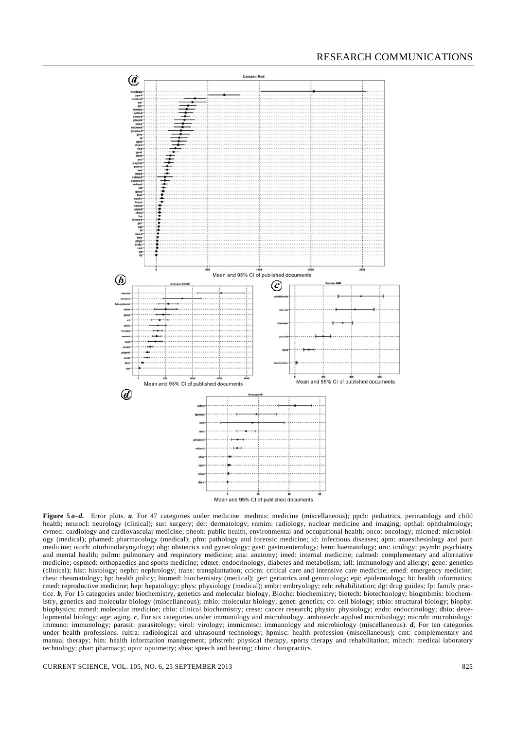# RESEARCH COMMUNICATIONS



**Figure 5***a–d*. Error plots. *a*, For 47 categories under medicine. medmis: medicine (miscellaneous); ppch: pediatrics, perinatology and child health; neurocl: neurology (clinical); sur: surgery; der: dermatology; rnmim: radiology, nuclear medicine and imaging; opthal: ophthalmology; cvmed: cardiology and cardiovascular medicine; pheoh: public health, environmental and occupational health; onco: oncology; micmed: microbiology (medical); phamed: pharmacology (medical); pfm: pathology and forensic medicine; id: infectious diseases; apm: anaesthesiology and pain medicine; otorh: otorhinolaryngology; obg: obstetrics and gynecology; gast: gastroenterology; hem: haematology; uro: urology; psymh: psychiatry and mental health; pulrm: pulmonary and respiratory medicine; ana: anatomy; imed: internal medicine; calmed: complementary and alternative medicine; ospmed: orthopaedics and sports medicine; edmet: endocrinology, diabetes and metabolism; iall: immunology and allergy; gene: genetics (clinical); hist: histology; nephr: nephrology; trans: transplantation; ccicm: critical care and intensive care medicine; emed: emergency medicine; rheu: rheumatology; hp: health policy; biomed: biochemistry (medical); ger: geriatrics and gerontology; epi: epidemiology; hi: health informatics; rmed: reproductive medicine; hep: hepatology; phys: physiology (medical); embr: embryology; reh: rehabilitation; dg: drug guides; fp: family practice.  $b$ , For 15 categories under biochemistry, genetics and molecular biology. Bioche: biochemistry; biotech: biotechnology; biogmbmis: biochemistry, genetics and molecular biology (miscellaneous); mbio: molecular biology; genet: genetics; cb: cell biology; stbio: structural biology; biophy: biophysics; mmed: molecular medicine; cbio: clinical biochemistry; crese: cancer research; physio: physiology; endo: endocrinology; dbio: developmental biology; age: aging. *c*, For six categories under immunology and microbiology. ambiotech: applied microbiology; microb: microbiology; immuno: immunology; parasit: parasitology; virol: virology; immicmisc: immunology and microbiology (miscellaneous). *d*, For ten categories under health professions. rultra: radiological and ultrasound technology; hpmisc: health profession (miscellaneous); cmt: complementary and manual therapy; him: health information management; pthstreh: physical therapy, sports therapy and rehabilitation; mltech: medical laboratory technology; phar: pharmacy; opto: optometry; shea: speech and hearing; chiro: chiropractics.

CURRENT SCIENCE, VOL. 105, NO. 6, 25 SEPTEMBER 2013 825